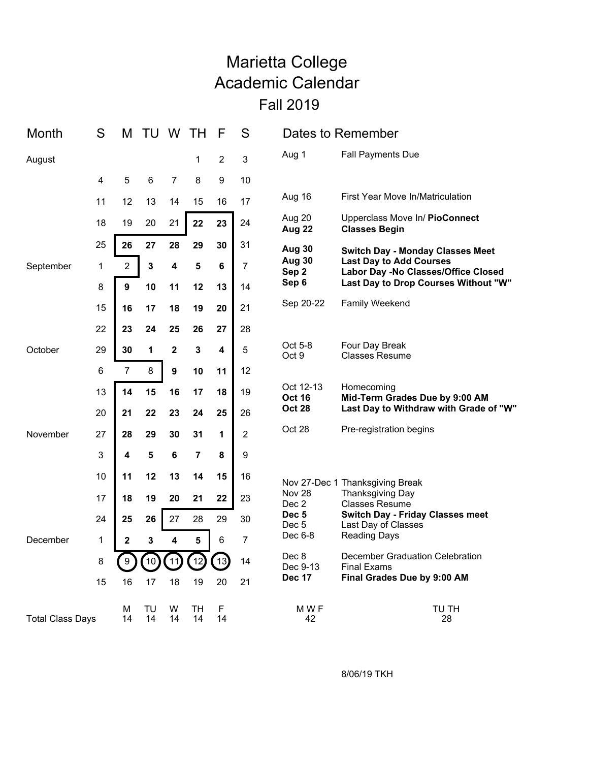## Marietta College Academic Calendar Fall 2019

| Month                   | S              | М              | TU       | W           | TН             | F              | S              | Dates to Remember                                                                                                                                                                                   |                                                                                                               |
|-------------------------|----------------|----------------|----------|-------------|----------------|----------------|----------------|-----------------------------------------------------------------------------------------------------------------------------------------------------------------------------------------------------|---------------------------------------------------------------------------------------------------------------|
| August                  |                |                |          |             | 1              | $\overline{2}$ | $\mathbf{3}$   | Aug 1                                                                                                                                                                                               | <b>Fall Payments Due</b>                                                                                      |
|                         | 4              | 5              | 6        | 7           | 8              | 9              | 10             |                                                                                                                                                                                                     |                                                                                                               |
|                         | 11             | 12             | 13       | 14          | 15             | 16             | 17             | Aug 16                                                                                                                                                                                              | <b>First Year Move In/Matriculation</b>                                                                       |
|                         | 18             | 19             | 20       | 21          | 22             | 23             | 24             | Aug 20<br>Aug 22                                                                                                                                                                                    | Upperclass Move In/ PioConnect<br><b>Classes Begin</b>                                                        |
| September               | 25             | 26             | 27       | 28          | 29             | 30<br>31       | <b>Aug 30</b>  | <b>Switch Day - Monday Classes Meet</b>                                                                                                                                                             |                                                                                                               |
|                         | $\mathbf 1$    | $\overline{2}$ | 3        | 4           | $5\phantom{a}$ | $\bf 6$        | 7              | <b>Aug 30</b><br>Sep <sub>2</sub>                                                                                                                                                                   | <b>Last Day to Add Courses</b><br>Labor Day -No Classes/Office Closed<br>Last Day to Drop Courses Without "W" |
|                         | 8              | 9              | 10       | 11          | 12             | 13             | 14             | Sep 6                                                                                                                                                                                               |                                                                                                               |
|                         | 15             | 16             | 17       | 18          | 19             | 20             | 21             | Sep 20-22                                                                                                                                                                                           | Family Weekend                                                                                                |
|                         | 22             | 23             | 24       | 25          | 26             | 27             | 28             |                                                                                                                                                                                                     |                                                                                                               |
| October                 | 29             | 30             | 1        | $\mathbf 2$ | $\mathbf{3}$   | 4              | 5              | Oct 5-8<br>Oct 9                                                                                                                                                                                    | Four Day Break<br><b>Classes Resume</b>                                                                       |
|                         | $6\phantom{1}$ | $\overline{7}$ | 8        | 9           | 10             | 11             | 12             |                                                                                                                                                                                                     |                                                                                                               |
| November                | 13             | 14             | 15       | 16          | 17             | 18             | 19             | Oct 12-13<br><b>Oct 16</b><br><b>Oct 28</b>                                                                                                                                                         | Homecoming<br>Mid-Term Grades Due by 9:00 AM<br>Last Day to Withdraw with Grade of "W"                        |
|                         | 20             | 21             | 22       | 23          | 24             | 25             | 26             |                                                                                                                                                                                                     |                                                                                                               |
|                         | 27             | 28             | 29       | 30          | 31             | 1              | $\overline{2}$ | Oct 28                                                                                                                                                                                              | Pre-registration begins                                                                                       |
|                         | 3              | 4              | 5        | 6           | $\overline{7}$ | 8              | 9              | Nov 27-Dec 1 Thanksgiving Break<br><b>Nov 28</b><br><b>Thanksgiving Day</b><br><b>Classes Resume</b><br>Dec 2<br>Dec <sub>5</sub><br>Last Day of Classes<br>Dec 5<br><b>Reading Days</b><br>Dec 6-8 |                                                                                                               |
|                         | 10             | 11             | 12       | 13          | 14             | 15             | 16             |                                                                                                                                                                                                     |                                                                                                               |
| December                | 17             | 18             | 19       | 20          | 21             | 22             | 23             |                                                                                                                                                                                                     |                                                                                                               |
|                         | 24             | 25             | 26       | 27          | 28             | 29             | 30             |                                                                                                                                                                                                     | Switch Day - Friday Classes meet                                                                              |
|                         | 1              | $\mathbf 2$    | 3        | 4           | 5              | 6              | $\overline{7}$ |                                                                                                                                                                                                     |                                                                                                               |
|                         | 8              |                | 10       | 11          | 12             | 13             | 14             | Dec 8<br>Dec 9-13                                                                                                                                                                                   | December Graduation Celebration<br><b>Final Exams</b>                                                         |
|                         | 15             | 16             | 17       | 18          | 19             | 20             | 21             | <b>Dec 17</b>                                                                                                                                                                                       | Final Grades Due by 9:00 AM                                                                                   |
| <b>Total Class Days</b> |                | М<br>14        | TU<br>14 | w<br>14     | TН<br>14       | F<br>14        |                | M W F<br>42                                                                                                                                                                                         | TU TH<br>28                                                                                                   |